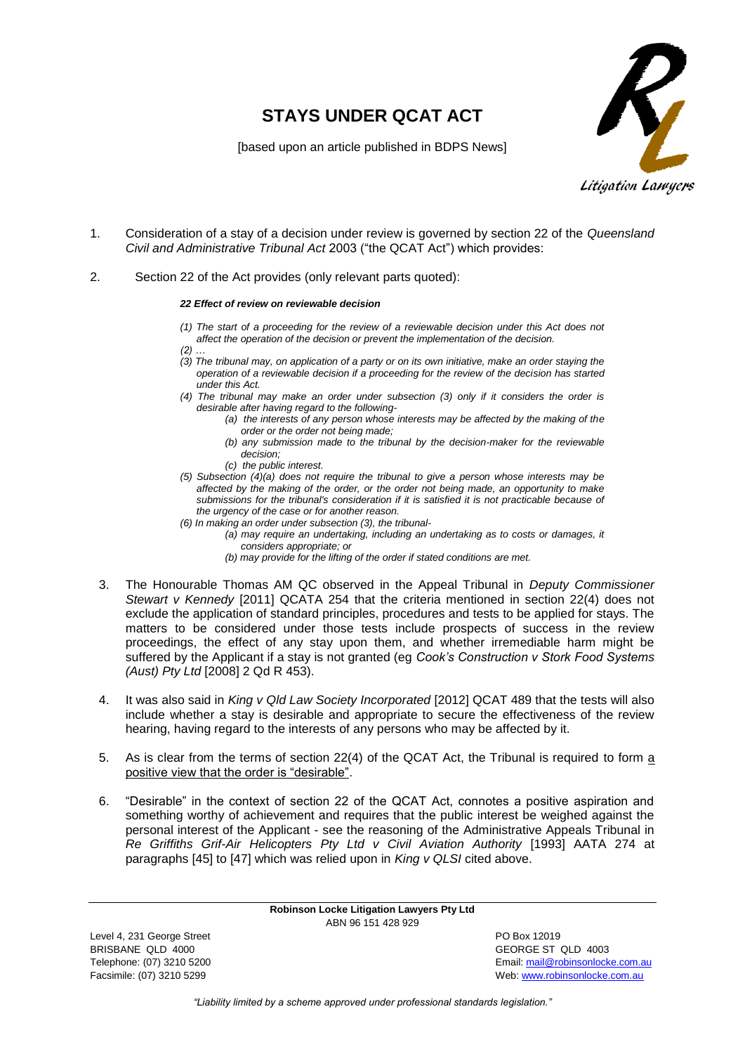## **STAYS UNDER QCAT ACT**



[based upon an article published in BDPS News]

- 1. Consideration of a stay of a decision under review is governed by section 22 of the *Queensland Civil and Administrative Tribunal Act* 2003 ("the QCAT Act") which provides:
- 2. Section 22 of the Act provides (only relevant parts quoted):

## *22 Effect of review on reviewable decision*

- *(1) The start of a proceeding for the review of a reviewable decision under this Act does not affect the operation of the decision or prevent the implementation of the decision.*
- *(2) …*
- *(3) The tribunal may, on application of a party or on its own initiative, make an order staying the operation of a reviewable decision if a proceeding for the review of the decision has started under this Act.*
- *(4) The tribunal may make an order under subsection (3) only if it considers the order is desirable after having regard to the following-*
	- *(a) the interests of any person whose interests may be affected by the making of the order or the order not being made;*
	- *(b) any submission made to the tribunal by the decision-maker for the reviewable decision;*
	- *(c) the public interest.*
- *(5) Subsection (4)(a) does not require the tribunal to give a person whose interests may be affected by the making of the order, or the order not being made, an opportunity to make submissions for the tribunal's consideration if it is satisfied it is not practicable because of the urgency of the case or for another reason.*
- *(6) In making an order under subsection (3), the tribunal-*
	- *(a) may require an undertaking, including an undertaking as to costs or damages, it considers appropriate; or*
	- *(b) may provide for the lifting of the order if stated conditions are met.*
- 3. The Honourable Thomas AM QC observed in the Appeal Tribunal in *Deputy Commissioner Stewart v Kennedy* [2011] QCATA 254 that the criteria mentioned in section 22(4) does not exclude the application of standard principles, procedures and tests to be applied for stays. The matters to be considered under those tests include prospects of success in the review proceedings, the effect of any stay upon them, and whether irremediable harm might be suffered by the Applicant if a stay is not granted (eg *Cook's Construction v Stork Food Systems (Aust) Pty Ltd* [2008] 2 Qd R 453).
- 4. It was also said in *King v Qld Law Society Incorporated* [2012] QCAT 489 that the tests will also include whether a stay is desirable and appropriate to secure the effectiveness of the review hearing, having regard to the interests of any persons who may be affected by it.
- 5. As is clear from the terms of section 22(4) of the QCAT Act, the Tribunal is required to form a positive view that the order is "desirable".
- 6. "Desirable" in the context of section 22 of the QCAT Act, connotes a positive aspiration and something worthy of achievement and requires that the public interest be weighed against the personal interest of the Applicant - see the reasoning of the Administrative Appeals Tribunal in *Re Griffiths Grif-Air Helicopters Pty Ltd v Civil Aviation Authority* [1993] AATA 274 at paragraphs [45] to [47] which was relied upon in *King v QLSI* cited above.

**Robinson Locke Litigation Lawyers Pty Ltd** ABN 96 151 428 929

Level 4, 231 George Street **PO Box 12019** BRISBANE QLD 4000 GEORGE ST QLD 4003

Telephone: (07) 3210 5200 Email[: mail@robinsonlocke.com.au](mailto:mail@robinsonlocke.com.au) Facsimile: (07) 3210 5299 Web: [www.robinsonlocke.com.au](http://www.robinsonlocke.com.au/)

*"Liability limited by a scheme approved under professional standards legislation."*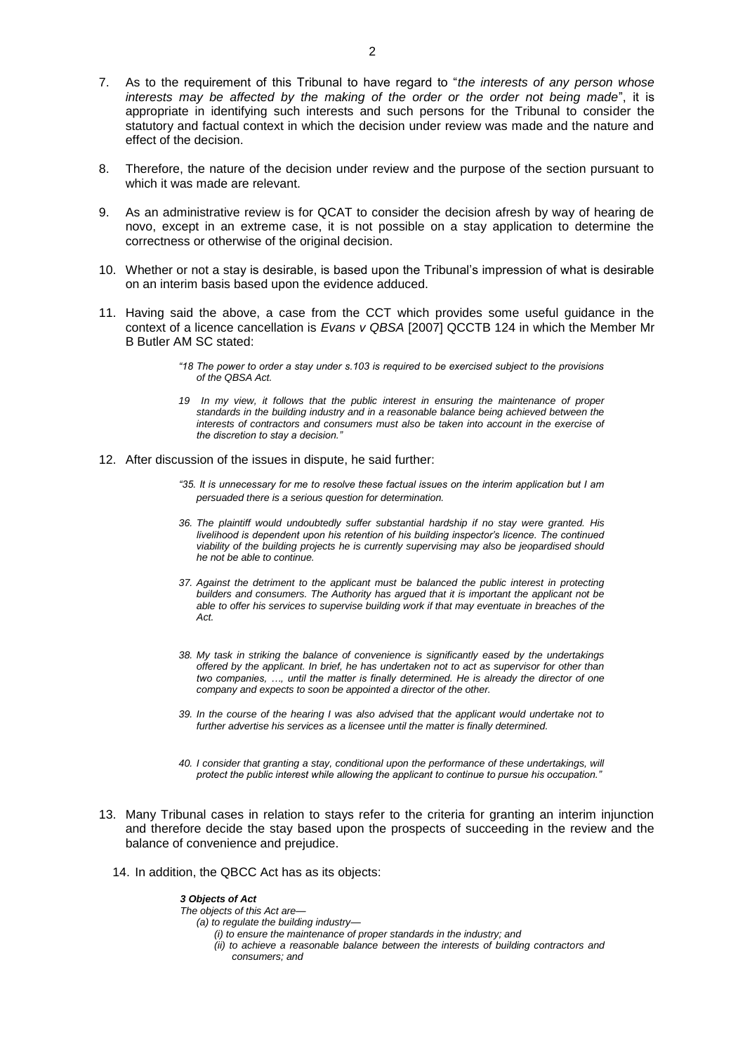- 7. As to the requirement of this Tribunal to have regard to "*the interests of any person whose interests may be affected by the making of the order or the order not being made*", it is appropriate in identifying such interests and such persons for the Tribunal to consider the statutory and factual context in which the decision under review was made and the nature and effect of the decision.
- 8. Therefore, the nature of the decision under review and the purpose of the section pursuant to which it was made are relevant.
- 9. As an administrative review is for QCAT to consider the decision afresh by way of hearing de novo, except in an extreme case, it is not possible on a stay application to determine the correctness or otherwise of the original decision.
- 10. Whether or not a stay is desirable, is based upon the Tribunal's impression of what is desirable on an interim basis based upon the evidence adduced.
- 11. Having said the above, a case from the CCT which provides some useful guidance in the context of a licence cancellation is *Evans v QBSA* [2007] QCCTB 124 in which the Member Mr B Butler AM SC stated:
	- *"18 The power to order a stay under s.103 is required to be exercised subject to the provisions of the QBSA Act.*
	- *19 In my view, it follows that the public interest in ensuring the maintenance of proper standards in the building industry and in a reasonable balance being achieved between the interests of contractors and consumers must also be taken into account in the exercise of the discretion to stay a decision."*
- 12. After discussion of the issues in dispute, he said further:
	- *"35. It is unnecessary for me to resolve these factual issues on the interim application but I am persuaded there is a serious question for determination.*
	- *36. The plaintiff would undoubtedly suffer substantial hardship if no stay were granted. His livelihood is dependent upon his retention of his building inspector's licence. The continued viability of the building projects he is currently supervising may also be jeopardised should he not be able to continue.*
	- *37. Against the detriment to the applicant must be balanced the public interest in protecting builders and consumers. The Authority has argued that it is important the applicant not be able to offer his services to supervise building work if that may eventuate in breaches of the Act.*
	- *38. My task in striking the balance of convenience is significantly eased by the undertakings offered by the applicant. In brief, he has undertaken not to act as supervisor for other than two companies, …, until the matter is finally determined. He is already the director of one company and expects to soon be appointed a director of the other.*
	- *39. In the course of the hearing I was also advised that the applicant would undertake not to further advertise his services as a licensee until the matter is finally determined.*
	- *40. I consider that granting a stay, conditional upon the performance of these undertakings, will protect the public interest while allowing the applicant to continue to pursue his occupation."*
- 13. Many Tribunal cases in relation to stays refer to the criteria for granting an interim injunction and therefore decide the stay based upon the prospects of succeeding in the review and the balance of convenience and prejudice.
	- 14. In addition, the QBCC Act has as its objects:

*3 Objects of Act The objects of this Act are— (a) to regulate the building industry— (i) to ensure the maintenance of proper standards in the industry; and (ii) to achieve a reasonable balance between the interests of building contractors and consumers; and*